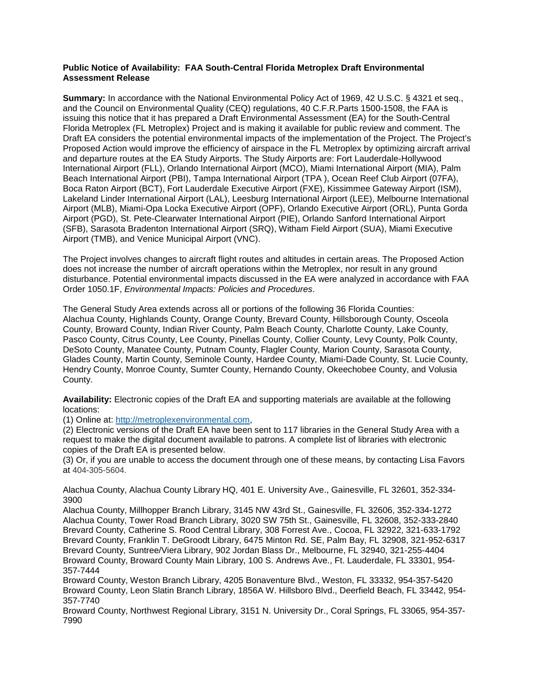## **Public Notice of Availability: FAA South-Central Florida Metroplex Draft Environmental Assessment Release**

**Summary:** In accordance with the National Environmental Policy Act of 1969, 42 U.S.C. § 4321 et seq., and the Council on Environmental Quality (CEQ) regulations, 40 C.F.R.Parts 1500-1508, the FAA is issuing this notice that it has prepared a Draft Environmental Assessment (EA) for the South-Central Florida Metroplex (FL Metroplex) Project and is making it available for public review and comment. The Draft EA considers the potential environmental impacts of the implementation of the Project. The Project's Proposed Action would improve the efficiency of airspace in the FL Metroplex by optimizing aircraft arrival and departure routes at the EA Study Airports. The Study Airports are: Fort Lauderdale-Hollywood International Airport (FLL), Orlando International Airport (MCO), Miami International Airport (MIA), Palm Beach International Airport (PBI), Tampa International Airport (TPA ), Ocean Reef Club Airport (07FA), Boca Raton Airport (BCT), Fort Lauderdale Executive Airport (FXE), Kissimmee Gateway Airport (ISM), Lakeland Linder International Airport (LAL), Leesburg International Airport (LEE), Melbourne International Airport (MLB), Miami-Opa Locka Executive Airport (OPF), Orlando Executive Airport (ORL), Punta Gorda Airport (PGD), St. Pete-Clearwater International Airport (PIE), Orlando Sanford International Airport (SFB), Sarasota Bradenton International Airport (SRQ), Witham Field Airport (SUA), Miami Executive Airport (TMB), and Venice Municipal Airport (VNC).

The Project involves changes to aircraft flight routes and altitudes in certain areas. The Proposed Action does not increase the number of aircraft operations within the Metroplex, nor result in any ground disturbance. Potential environmental impacts discussed in the EA were analyzed in accordance with FAA Order 1050.1F, *Environmental Impacts: Policies and Procedures*.

The General Study Area extends across all or portions of the following 36 Florida Counties: Alachua County, Highlands County, Orange County, Brevard County, Hillsborough County, Osceola County, Broward County, Indian River County, Palm Beach County, Charlotte County, Lake County, Pasco County, Citrus County, Lee County, Pinellas County, Collier County, Levy County, Polk County, DeSoto County, Manatee County, Putnam County, Flagler County, Marion County, Sarasota County, Glades County, Martin County, Seminole County, Hardee County, Miami-Dade County, St. Lucie County, Hendry County, Monroe County, Sumter County, Hernando County, Okeechobee County, and Volusia County.

**Availability:** Electronic copies of the Draft EA and supporting materials are available at the following locations:

(1) Online at: http://metroplexenvironmental.com,

(2) Electronic versions of the Draft EA have been sent to 117 libraries in the General Study Area with a request to make the digital document available to patrons. A complete list of libraries with electronic copies of the Draft EA is presented below.

(3) Or, if you are unable to access the document through one of these means, by contacting Lisa Favors at 404-305-5604.

Alachua County, Alachua County Library HQ, 401 E. University Ave., Gainesville, FL 32601, 352-334- 3900

Alachua County, Millhopper Branch Library, 3145 NW 43rd St., Gainesville, FL 32606, 352-334-1272 Alachua County, Tower Road Branch Library, 3020 SW 75th St., Gainesville, FL 32608, 352-333-2840 Brevard County, Catherine S. Rood Central Library, 308 Forrest Ave., Cocoa, FL 32922, 321-633-1792 Brevard County, Franklin T. DeGroodt Library, 6475 Minton Rd. SE, Palm Bay, FL 32908, 321-952-6317 Brevard County, Suntree/Viera Library, 902 Jordan Blass Dr., Melbourne, FL 32940, 321-255-4404 Broward County, Broward County Main Library, 100 S. Andrews Ave., Ft. Lauderdale, FL 33301, 954- 357-7444

Broward County, Weston Branch Library, 4205 Bonaventure Blvd., Weston, FL 33332, 954-357-5420 Broward County, Leon Slatin Branch Library, 1856A W. Hillsboro Blvd., Deerfield Beach, FL 33442, 954- 357-7740

Broward County, Northwest Regional Library, 3151 N. University Dr., Coral Springs, FL 33065, 954-357- 7990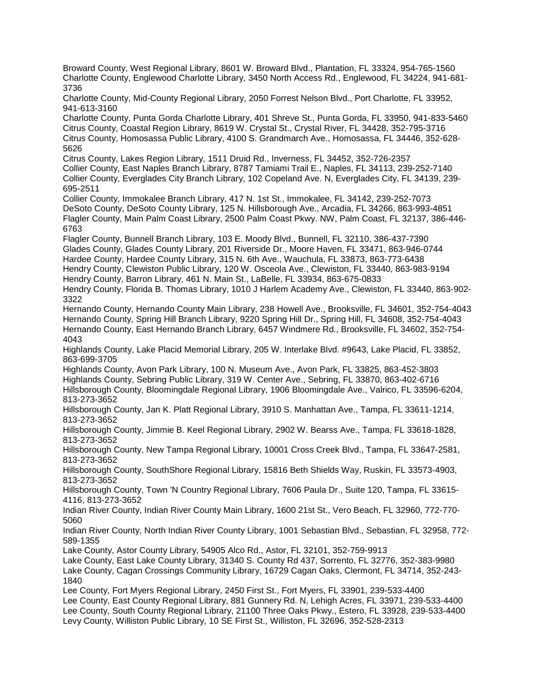Broward County, West Regional Library, 8601 W. Broward Blvd., Plantation, FL 33324, 954-765-1560 Charlotte County, Englewood Charlotte Library, 3450 North Access Rd., Englewood, FL 34224, 941-681- 3736 Charlotte County, Mid-County Regional Library, 2050 Forrest Nelson Blvd., Port Charlotte, FL 33952, 941-613-3160 Charlotte County, Punta Gorda Charlotte Library, 401 Shreve St., Punta Gorda, FL 33950, 941-833-5460 Citrus County, Coastal Region Library, 8619 W. Crystal St., Crystal River, FL 34428, 352-795-3716 Citrus County, Homosassa Public Library, 4100 S. Grandmarch Ave., Homosassa, FL 34446, 352-628- 5626 Citrus County, Lakes Region Library, 1511 Druid Rd., Inverness, FL 34452, 352-726-2357 Collier County, East Naples Branch Library, 8787 Tamiami Trail E., Naples, FL 34113, 239-252-7140 Collier County, Everglades City Branch Library, 102 Copeland Ave. N, Everglades City, FL 34139, 239- 695-2511 Collier County, Immokalee Branch Library, 417 N. 1st St., Immokalee, FL 34142, 239-252-7073 DeSoto County, DeSoto County Library, 125 N. Hillsborough Ave., Arcadia, FL 34266, 863-993-4851 Flagler County, Main Palm Coast Library, 2500 Palm Coast Pkwy. NW, Palm Coast, FL 32137, 386-446- 6763 Flagler County, Bunnell Branch Library, 103 E. Moody Blvd., Bunnell, FL 32110, 386-437-7390 Glades County, Glades County Library, 201 Riverside Dr., Moore Haven, FL 33471, 863-946-0744 Hardee County, Hardee County Library, 315 N. 6th Ave., Wauchula, FL 33873, 863-773-6438 Hendry County, Clewiston Public Library, 120 W. Osceola Ave., Clewiston, FL 33440, 863-983-9194 Hendry County, Barron Library, 461 N. Main St., LaBelle, FL 33934, 863-675-0833 Hendry County, Florida B. Thomas Library, 1010 J Harlem Academy Ave., Clewiston, FL 33440, 863-902- 3322 Hernando County, Hernando County Main Library, 238 Howell Ave., Brooksville, FL 34601, 352-754-4043 Hernando County, Spring Hill Branch Library, 9220 Spring Hill Dr., Spring Hill, FL 34608, 352-754-4043 Hernando County, East Hernando Branch Library, 6457 Windmere Rd., Brooksville, FL 34602, 352-754- 4043 Highlands County, Lake Placid Memorial Library, 205 W. Interlake Blvd. #9643, Lake Placid, FL 33852, 863-699-3705 Highlands County, Avon Park Library, 100 N. Museum Ave., Avon Park, FL 33825, 863-452-3803 Highlands County, Sebring Public Library, 319 W. Center Ave., Sebring, FL 33870, 863-402-6716 Hillsborough County, Bloomingdale Regional Library, 1906 Bloomingdale Ave., Valrico, FL 33596-6204, 813-273-3652 Hillsborough County, Jan K. Platt Regional Library, 3910 S. Manhattan Ave., Tampa, FL 33611-1214, 813-273-3652 Hillsborough County, Jimmie B. Keel Regional Library, 2902 W. Bearss Ave., Tampa, FL 33618-1828, 813-273-3652 Hillsborough County, New Tampa Regional Library, 10001 Cross Creek Blvd., Tampa, FL 33647-2581, 813-273-3652 Hillsborough County, SouthShore Regional Library, 15816 Beth Shields Way, Ruskin, FL 33573-4903, 813-273-3652 Hillsborough County, Town 'N Country Regional Library, 7606 Paula Dr., Suite 120, Tampa, FL 33615- 4116, 813-273-3652 Indian River County, Indian River County Main Library, 1600 21st St., Vero Beach, FL 32960, 772-770- 5060 Indian River County, North Indian River County Library, 1001 Sebastian Blvd., Sebastian, FL 32958, 772- 589-1355 Lake County, Astor County Library, 54905 Alco Rd., Astor, FL 32101, 352-759-9913 Lake County, East Lake County Library, 31340 S. County Rd 437, Sorrento, FL 32776, 352-383-9980 Lake County, Cagan Crossings Community Library, 16729 Cagan Oaks, Clermont, FL 34714, 352-243- 1840 Lee County, Fort Myers Regional Library, 2450 First St., Fort Myers, FL 33901, 239-533-4400 Lee County, East County Regional Library, 881 Gunnery Rd. N, Lehigh Acres, FL 33971, 239-533-4400 Lee County, South County Regional Library, 21100 Three Oaks Pkwy., Estero, FL 33928, 239-533-4400 Levy County, Williston Public Library, 10 SE First St., Williston, FL 32696, 352-528-2313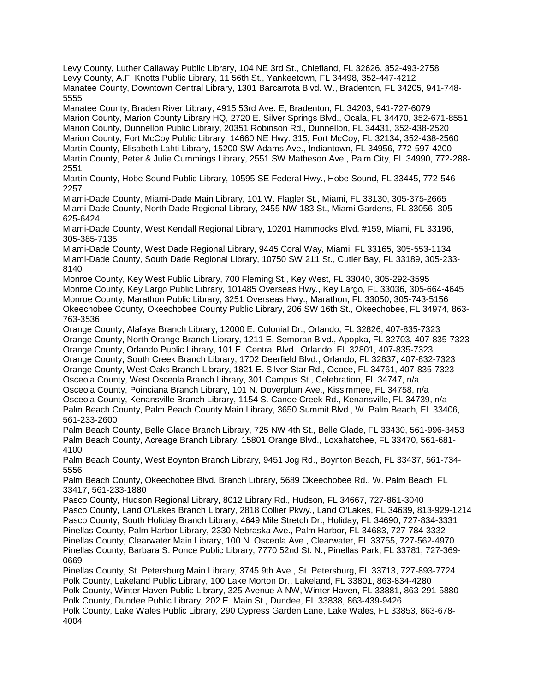Levy County, Luther Callaway Public Library, 104 NE 3rd St., Chiefland, FL 32626, 352-493-2758 Levy County, A.F. Knotts Public Library, 11 56th St., Yankeetown, FL 34498, 352-447-4212 Manatee County, Downtown Central Library, 1301 Barcarrota Blvd. W., Bradenton, FL 34205, 941-748- 5555

Manatee County, Braden River Library, 4915 53rd Ave. E, Bradenton, FL 34203, 941-727-6079 Marion County, Marion County Library HQ, 2720 E. Silver Springs Blvd., Ocala, FL 34470, 352-671-8551 Marion County, Dunnellon Public Library, 20351 Robinson Rd., Dunnellon, FL 34431, 352-438-2520 Marion County, Fort McCoy Public Library, 14660 NE Hwy. 315, Fort McCoy, FL 32134, 352-438-2560 Martin County, Elisabeth Lahti Library, 15200 SW Adams Ave., Indiantown, FL 34956, 772-597-4200 Martin County, Peter & Julie Cummings Library, 2551 SW Matheson Ave., Palm City, FL 34990, 772-288- 2551

Martin County, Hobe Sound Public Library, 10595 SE Federal Hwy., Hobe Sound, FL 33445, 772-546- 2257

Miami-Dade County, Miami-Dade Main Library, 101 W. Flagler St., Miami, FL 33130, 305-375-2665 Miami-Dade County, North Dade Regional Library, 2455 NW 183 St., Miami Gardens, FL 33056, 305- 625-6424

Miami-Dade County, West Kendall Regional Library, 10201 Hammocks Blvd. #159, Miami, FL 33196, 305-385-7135

Miami-Dade County, West Dade Regional Library, 9445 Coral Way, Miami, FL 33165, 305-553-1134 Miami-Dade County, South Dade Regional Library, 10750 SW 211 St., Cutler Bay, FL 33189, 305-233- 8140

Monroe County, Key West Public Library, 700 Fleming St., Key West, FL 33040, 305-292-3595 Monroe County, Key Largo Public Library, 101485 Overseas Hwy., Key Largo, FL 33036, 305-664-4645 Monroe County, Marathon Public Library, 3251 Overseas Hwy., Marathon, FL 33050, 305-743-5156 Okeechobee County, Okeechobee County Public Library, 206 SW 16th St., Okeechobee, FL 34974, 863- 763-3536

Orange County, Alafaya Branch Library, 12000 E. Colonial Dr., Orlando, FL 32826, 407-835-7323 Orange County, North Orange Branch Library, 1211 E. Semoran Blvd., Apopka, FL 32703, 407-835-7323 Orange County, Orlando Public Library, 101 E. Central Blvd., Orlando, FL 32801, 407-835-7323 Orange County, South Creek Branch Library, 1702 Deerfield Blvd., Orlando, FL 32837, 407-832-7323 Orange County, West Oaks Branch Library, 1821 E. Silver Star Rd., Ocoee, FL 34761, 407-835-7323 Osceola County, West Osceola Branch Library, 301 Campus St., Celebration, FL 34747, n/a Osceola County, Poinciana Branch Library, 101 N. Doverplum Ave., Kissimmee, FL 34758, n/a Osceola County, Kenansville Branch Library, 1154 S. Canoe Creek Rd., Kenansville, FL 34739, n/a Palm Beach County, Palm Beach County Main Library, 3650 Summit Blvd., W. Palm Beach, FL 33406, 561-233-2600

Palm Beach County, Belle Glade Branch Library, 725 NW 4th St., Belle Glade, FL 33430, 561-996-3453 Palm Beach County, Acreage Branch Library, 15801 Orange Blvd., Loxahatchee, FL 33470, 561-681- 4100

Palm Beach County, West Boynton Branch Library, 9451 Jog Rd., Boynton Beach, FL 33437, 561-734- 5556

Palm Beach County, Okeechobee Blvd. Branch Library, 5689 Okeechobee Rd., W. Palm Beach, FL 33417, 561-233-1880

Pasco County, Hudson Regional Library, 8012 Library Rd., Hudson, FL 34667, 727-861-3040 Pasco County, Land O'Lakes Branch Library, 2818 Collier Pkwy., Land O'Lakes, FL 34639, 813-929-1214 Pasco County, South Holiday Branch Library, 4649 Mile Stretch Dr., Holiday, FL 34690, 727-834-3331 Pinellas County, Palm Harbor Library, 2330 Nebraska Ave., Palm Harbor, FL 34683, 727-784-3332 Pinellas County, Clearwater Main Library, 100 N. Osceola Ave., Clearwater, FL 33755, 727-562-4970 Pinellas County, Barbara S. Ponce Public Library, 7770 52nd St. N., Pinellas Park, FL 33781, 727-369- 0669

Pinellas County, St. Petersburg Main Library, 3745 9th Ave., St. Petersburg, FL 33713, 727-893-7724 Polk County, Lakeland Public Library, 100 Lake Morton Dr., Lakeland, FL 33801, 863-834-4280 Polk County, Winter Haven Public Library, 325 Avenue A NW, Winter Haven, FL 33881, 863-291-5880

Polk County, Dundee Public Library, 202 E. Main St., Dundee, FL 33838, 863-439-9426

Polk County, Lake Wales Public Library, 290 Cypress Garden Lane, Lake Wales, FL 33853, 863-678- 4004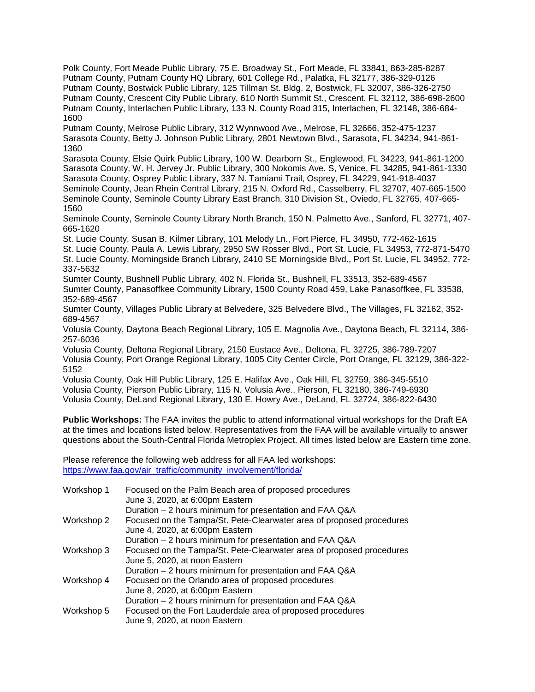Polk County, Fort Meade Public Library, 75 E. Broadway St., Fort Meade, FL 33841, 863-285-8287 Putnam County, Putnam County HQ Library, 601 College Rd., Palatka, FL 32177, 386-329-0126 Putnam County, Bostwick Public Library, 125 Tillman St. Bldg. 2, Bostwick, FL 32007, 386-326-2750 Putnam County, Crescent City Public Library, 610 North Summit St., Crescent, FL 32112, 386-698-2600 Putnam County, Interlachen Public Library, 133 N. County Road 315, Interlachen, FL 32148, 386-684- 1600

Putnam County, Melrose Public Library, 312 Wynnwood Ave., Melrose, FL 32666, 352-475-1237 Sarasota County, Betty J. Johnson Public Library, 2801 Newtown Blvd., Sarasota, FL 34234, 941-861- 1360

Sarasota County, Elsie Quirk Public Library, 100 W. Dearborn St., Englewood, FL 34223, 941-861-1200 Sarasota County, W. H. Jervey Jr. Public Library, 300 Nokomis Ave. S, Venice, FL 34285, 941-861-1330 Sarasota County, Osprey Public Library, 337 N. Tamiami Trail, Osprey, FL 34229, 941-918-4037 Seminole County, Jean Rhein Central Library, 215 N. Oxford Rd., Casselberry, FL 32707, 407-665-1500 Seminole County, Seminole County Library East Branch, 310 Division St., Oviedo, FL 32765, 407-665- 1560

Seminole County, Seminole County Library North Branch, 150 N. Palmetto Ave., Sanford, FL 32771, 407- 665-1620

St. Lucie County, Susan B. Kilmer Library, 101 Melody Ln., Fort Pierce, FL 34950, 772-462-1615

St. Lucie County, Paula A. Lewis Library, 2950 SW Rosser Blvd., Port St. Lucie, FL 34953, 772-871-5470 St. Lucie County, Morningside Branch Library, 2410 SE Morningside Blvd., Port St. Lucie, FL 34952, 772- 337-5632

Sumter County, Bushnell Public Library, 402 N. Florida St., Bushnell, FL 33513, 352-689-4567 Sumter County, Panasoffkee Community Library, 1500 County Road 459, Lake Panasoffkee, FL 33538, 352-689-4567

Sumter County, Villages Public Library at Belvedere, 325 Belvedere Blvd., The Villages, FL 32162, 352- 689-4567

Volusia County, Daytona Beach Regional Library, 105 E. Magnolia Ave., Daytona Beach, FL 32114, 386- 257-6036

Volusia County, Deltona Regional Library, 2150 Eustace Ave., Deltona, FL 32725, 386-789-7207 Volusia County, Port Orange Regional Library, 1005 City Center Circle, Port Orange, FL 32129, 386-322- 5152

Volusia County, Oak Hill Public Library, 125 E. Halifax Ave., Oak Hill, FL 32759, 386-345-5510 Volusia County, Pierson Public Library, 115 N. Volusia Ave., Pierson, FL 32180, 386-749-6930 Volusia County, DeLand Regional Library, 130 E. Howry Ave., DeLand, FL 32724, 386-822-6430

**Public Workshops:** The FAA invites the public to attend informational virtual workshops for the Draft EA at the times and locations listed below. Representatives from the FAA will be available virtually to answer questions about the South-Central Florida Metroplex Project. All times listed below are Eastern time zone.

Please reference the following web address for all FAA led workshops: https://www.faa.gov/air\_traffic/community\_involvement/florida/

| Workshop 1 | Focused on the Palm Beach area of proposed procedures<br>June 3, 2020, at 6:00pm Eastern                |
|------------|---------------------------------------------------------------------------------------------------------|
|            | Duration - 2 hours minimum for presentation and FAA Q&A                                                 |
| Workshop 2 | Focused on the Tampa/St. Pete-Clearwater area of proposed procedures<br>June 4, 2020, at 6:00pm Eastern |
|            | Duration - 2 hours minimum for presentation and FAA Q&A                                                 |
| Workshop 3 | Focused on the Tampa/St. Pete-Clearwater area of proposed procedures<br>June 5, 2020, at noon Eastern   |
|            | Duration - 2 hours minimum for presentation and FAA Q&A                                                 |
| Workshop 4 | Focused on the Orlando area of proposed procedures                                                      |
|            | June 8, 2020, at 6:00pm Eastern<br>Duration - 2 hours minimum for presentation and FAA Q&A              |
|            |                                                                                                         |
| Workshop 5 | Focused on the Fort Lauderdale area of proposed procedures                                              |
|            | June 9, 2020, at noon Eastern                                                                           |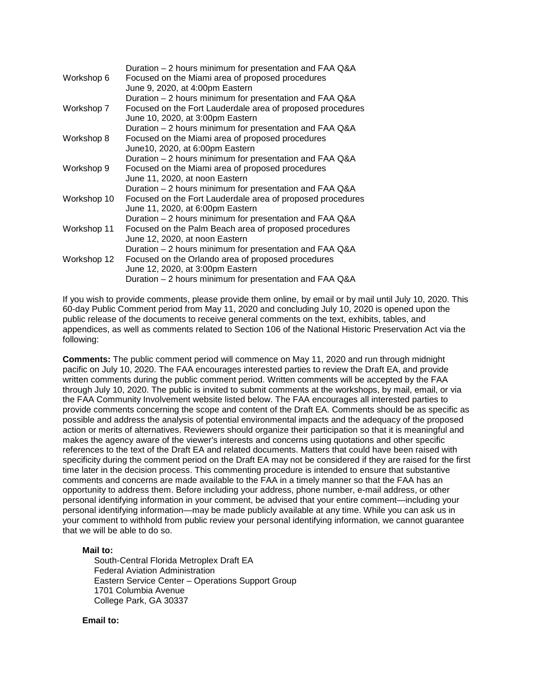|             | Duration – 2 hours minimum for presentation and FAA Q&A    |
|-------------|------------------------------------------------------------|
| Workshop 6  | Focused on the Miami area of proposed procedures           |
|             | June 9, 2020, at 4:00pm Eastern                            |
|             | Duration - 2 hours minimum for presentation and FAA Q&A    |
| Workshop 7  | Focused on the Fort Lauderdale area of proposed procedures |
|             | June 10, 2020, at 3:00pm Eastern                           |
|             | Duration - 2 hours minimum for presentation and FAA Q&A    |
| Workshop 8  | Focused on the Miami area of proposed procedures           |
|             | June 10, 2020, at 6:00pm Eastern                           |
|             | Duration - 2 hours minimum for presentation and FAA Q&A    |
| Workshop 9  | Focused on the Miami area of proposed procedures           |
|             | June 11, 2020, at noon Eastern                             |
|             | Duration – 2 hours minimum for presentation and FAA Q&A    |
| Workshop 10 | Focused on the Fort Lauderdale area of proposed procedures |
|             | June 11, 2020, at 6:00pm Eastern                           |
|             | Duration – 2 hours minimum for presentation and FAA Q&A    |
| Workshop 11 | Focused on the Palm Beach area of proposed procedures      |
|             | June 12, 2020, at noon Eastern                             |
|             | Duration – 2 hours minimum for presentation and FAA Q&A    |
| Workshop 12 | Focused on the Orlando area of proposed procedures         |
|             | June 12, 2020, at 3:00pm Eastern                           |
|             | Duration – 2 hours minimum for presentation and FAA Q&A    |

If you wish to provide comments, please provide them online, by email or by mail until July 10, 2020. This 60-day Public Comment period from May 11, 2020 and concluding July 10, 2020 is opened upon the public release of the documents to receive general comments on the text, exhibits, tables, and appendices, as well as comments related to Section 106 of the National Historic Preservation Act via the following:

**Comments:** The public comment period will commence on May 11, 2020 and run through midnight pacific on July 10, 2020. The FAA encourages interested parties to review the Draft EA, and provide written comments during the public comment period. Written comments will be accepted by the FAA through July 10, 2020. The public is invited to submit comments at the workshops, by mail, email, or via the FAA Community Involvement website listed below. The FAA encourages all interested parties to provide comments concerning the scope and content of the Draft EA. Comments should be as specific as possible and address the analysis of potential environmental impacts and the adequacy of the proposed action or merits of alternatives. Reviewers should organize their participation so that it is meaningful and makes the agency aware of the viewer's interests and concerns using quotations and other specific references to the text of the Draft EA and related documents. Matters that could have been raised with specificity during the comment period on the Draft EA may not be considered if they are raised for the first time later in the decision process. This commenting procedure is intended to ensure that substantive comments and concerns are made available to the FAA in a timely manner so that the FAA has an opportunity to address them. Before including your address, phone number, e-mail address, or other personal identifying information in your comment, be advised that your entire comment—including your personal identifying information—may be made publicly available at any time. While you can ask us in your comment to withhold from public review your personal identifying information, we cannot guarantee that we will be able to do so.

## **Mail to:**

South-Central Florida Metroplex Draft EA Federal Aviation Administration Eastern Service Center – Operations Support Group 1701 Columbia Avenue College Park, GA 30337

#### **Email to:**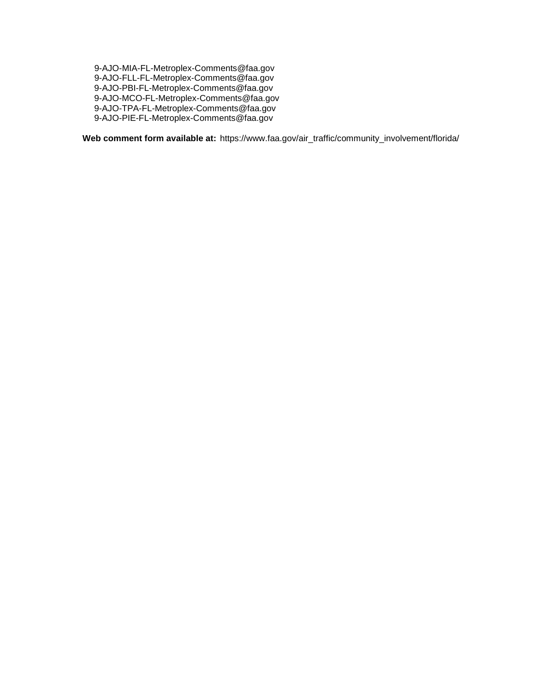9-AJO-MIA-FL-Metroplex-Comments@faa.gov 9-AJO-FLL-FL-Metroplex-Comments@faa.gov 9-AJO-PBI-FL-Metroplex-Comments@faa.gov 9-AJO-MCO-FL-Metroplex-Comments@faa.gov 9-AJO-TPA-FL-Metroplex-Comments@faa.gov 9-AJO-PIE-FL-Metroplex-Comments@faa.gov

**Web comment form available at:** https://www.faa.gov/air\_traffic/community\_involvement/florida/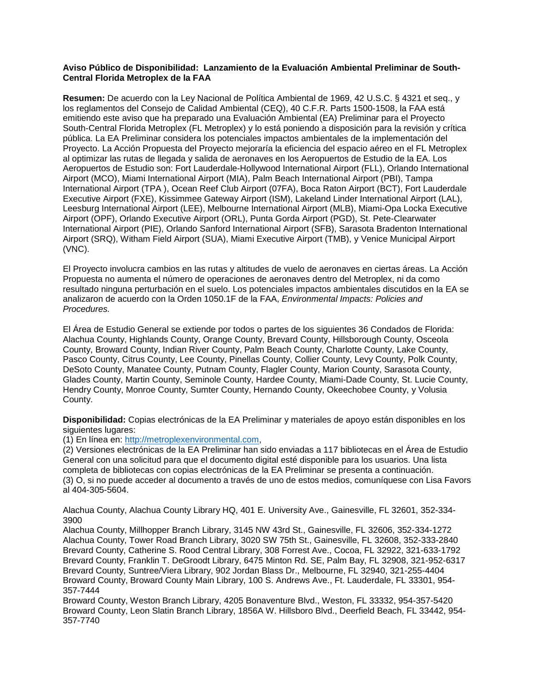## **Aviso Público de Disponibilidad: Lanzamiento de la Evaluación Ambiental Preliminar de South-Central Florida Metroplex de la FAA**

**Resumen:** De acuerdo con la Ley Nacional de Política Ambiental de 1969, 42 U.S.C. § 4321 et seq., y los reglamentos del Consejo de Calidad Ambiental (CEQ), 40 C.F.R. Parts 1500-1508, la FAA está emitiendo este aviso que ha preparado una Evaluación Ambiental (EA) Preliminar para el Proyecto South-Central Florida Metroplex (FL Metroplex) y lo está poniendo a disposición para la revisión y crítica pública. La EA Preliminar considera los potenciales impactos ambientales de la implementación del Proyecto. La Acción Propuesta del Proyecto mejoraría la eficiencia del espacio aéreo en el FL Metroplex al optimizar las rutas de llegada y salida de aeronaves en los Aeropuertos de Estudio de la EA. Los Aeropuertos de Estudio son: Fort Lauderdale-Hollywood International Airport (FLL), Orlando International Airport (MCO), Miami International Airport (MIA), Palm Beach International Airport (PBI), Tampa International Airport (TPA ), Ocean Reef Club Airport (07FA), Boca Raton Airport (BCT), Fort Lauderdale Executive Airport (FXE), Kissimmee Gateway Airport (ISM), Lakeland Linder International Airport (LAL), Leesburg International Airport (LEE), Melbourne International Airport (MLB), Miami-Opa Locka Executive Airport (OPF), Orlando Executive Airport (ORL), Punta Gorda Airport (PGD), St. Pete-Clearwater International Airport (PIE), Orlando Sanford International Airport (SFB), Sarasota Bradenton International Airport (SRQ), Witham Field Airport (SUA), Miami Executive Airport (TMB), y Venice Municipal Airport (VNC).

El Proyecto involucra cambios en las rutas y altitudes de vuelo de aeronaves en ciertas áreas. La Acción Propuesta no aumenta el número de operaciones de aeronaves dentro del Metroplex, ni da como resultado ninguna perturbación en el suelo. Los potenciales impactos ambientales discutidos en la EA se analizaron de acuerdo con la Orden 1050.1F de la FAA, *Environmental Impacts: Policies and Procedures.*

El Área de Estudio General se extiende por todos o partes de los siguientes 36 Condados de Florida: Alachua County, Highlands County, Orange County, Brevard County, Hillsborough County, Osceola County, Broward County, Indian River County, Palm Beach County, Charlotte County, Lake County, Pasco County, Citrus County, Lee County, Pinellas County, Collier County, Levy County, Polk County, DeSoto County, Manatee County, Putnam County, Flagler County, Marion County, Sarasota County, Glades County, Martin County, Seminole County, Hardee County, Miami-Dade County, St. Lucie County, Hendry County, Monroe County, Sumter County, Hernando County, Okeechobee County, y Volusia County.

**Disponibilidad:** Copias electrónicas de la EA Preliminar y materiales de apoyo están disponibles en los siguientes lugares:

(1) En línea en: http://metroplexenvironmental.com,

(2) Versiones electrónicas de la EA Preliminar han sido enviadas a 117 bibliotecas en el Área de Estudio General con una solicitud para que el documento digital esté disponible para los usuarios. Una lista completa de bibliotecas con copias electrónicas de la EA Preliminar se presenta a continuación. (3) O, si no puede acceder al documento a través de uno de estos medios, comuníquese con Lisa Favors al 404-305-5604.

Alachua County, Alachua County Library HQ, 401 E. University Ave., Gainesville, FL 32601, 352-334- 3900

Alachua County, Millhopper Branch Library, 3145 NW 43rd St., Gainesville, FL 32606, 352-334-1272 Alachua County, Tower Road Branch Library, 3020 SW 75th St., Gainesville, FL 32608, 352-333-2840 Brevard County, Catherine S. Rood Central Library, 308 Forrest Ave., Cocoa, FL 32922, 321-633-1792 Brevard County, Franklin T. DeGroodt Library, 6475 Minton Rd. SE, Palm Bay, FL 32908, 321-952-6317 Brevard County, Suntree/Viera Library, 902 Jordan Blass Dr., Melbourne, FL 32940, 321-255-4404 Broward County, Broward County Main Library, 100 S. Andrews Ave., Ft. Lauderdale, FL 33301, 954- 357-7444

Broward County, Weston Branch Library, 4205 Bonaventure Blvd., Weston, FL 33332, 954-357-5420 Broward County, Leon Slatin Branch Library, 1856A W. Hillsboro Blvd., Deerfield Beach, FL 33442, 954- 357-7740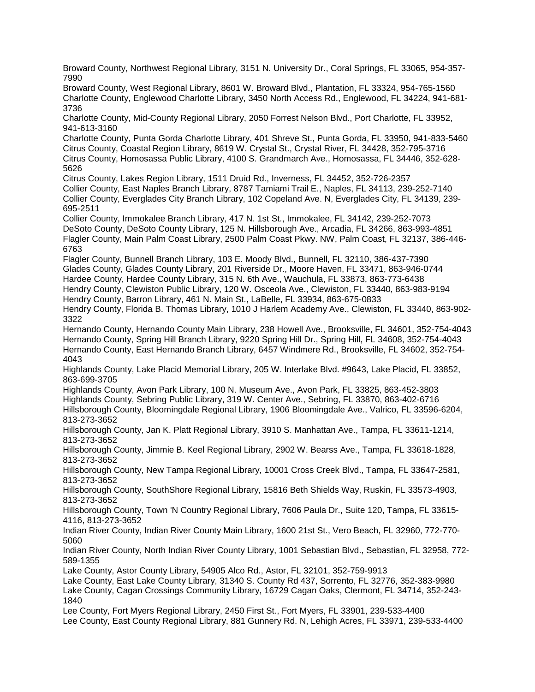Broward County, Northwest Regional Library, 3151 N. University Dr., Coral Springs, FL 33065, 954-357- 7990 Broward County, West Regional Library, 8601 W. Broward Blvd., Plantation, FL 33324, 954-765-1560 Charlotte County, Englewood Charlotte Library, 3450 North Access Rd., Englewood, FL 34224, 941-681- 3736 Charlotte County, Mid-County Regional Library, 2050 Forrest Nelson Blvd., Port Charlotte, FL 33952, 941-613-3160 Charlotte County, Punta Gorda Charlotte Library, 401 Shreve St., Punta Gorda, FL 33950, 941-833-5460 Citrus County, Coastal Region Library, 8619 W. Crystal St., Crystal River, FL 34428, 352-795-3716 Citrus County, Homosassa Public Library, 4100 S. Grandmarch Ave., Homosassa, FL 34446, 352-628- 5626 Citrus County, Lakes Region Library, 1511 Druid Rd., Inverness, FL 34452, 352-726-2357 Collier County, East Naples Branch Library, 8787 Tamiami Trail E., Naples, FL 34113, 239-252-7140 Collier County, Everglades City Branch Library, 102 Copeland Ave. N, Everglades City, FL 34139, 239- 695-2511 Collier County, Immokalee Branch Library, 417 N. 1st St., Immokalee, FL 34142, 239-252-7073 DeSoto County, DeSoto County Library, 125 N. Hillsborough Ave., Arcadia, FL 34266, 863-993-4851 Flagler County, Main Palm Coast Library, 2500 Palm Coast Pkwy. NW, Palm Coast, FL 32137, 386-446- 6763 Flagler County, Bunnell Branch Library, 103 E. Moody Blvd., Bunnell, FL 32110, 386-437-7390 Glades County, Glades County Library, 201 Riverside Dr., Moore Haven, FL 33471, 863-946-0744 Hardee County, Hardee County Library, 315 N. 6th Ave., Wauchula, FL 33873, 863-773-6438 Hendry County, Clewiston Public Library, 120 W. Osceola Ave., Clewiston, FL 33440, 863-983-9194 Hendry County, Barron Library, 461 N. Main St., LaBelle, FL 33934, 863-675-0833 Hendry County, Florida B. Thomas Library, 1010 J Harlem Academy Ave., Clewiston, FL 33440, 863-902- 3322 Hernando County, Hernando County Main Library, 238 Howell Ave., Brooksville, FL 34601, 352-754-4043 Hernando County, Spring Hill Branch Library, 9220 Spring Hill Dr., Spring Hill, FL 34608, 352-754-4043 Hernando County, East Hernando Branch Library, 6457 Windmere Rd., Brooksville, FL 34602, 352-754- 4043 Highlands County, Lake Placid Memorial Library, 205 W. Interlake Blvd. #9643, Lake Placid, FL 33852, 863-699-3705 Highlands County, Avon Park Library, 100 N. Museum Ave., Avon Park, FL 33825, 863-452-3803 Highlands County, Sebring Public Library, 319 W. Center Ave., Sebring, FL 33870, 863-402-6716 Hillsborough County, Bloomingdale Regional Library, 1906 Bloomingdale Ave., Valrico, FL 33596-6204, 813-273-3652 Hillsborough County, Jan K. Platt Regional Library, 3910 S. Manhattan Ave., Tampa, FL 33611-1214, 813-273-3652 Hillsborough County, Jimmie B. Keel Regional Library, 2902 W. Bearss Ave., Tampa, FL 33618-1828, 813-273-3652 Hillsborough County, New Tampa Regional Library, 10001 Cross Creek Blvd., Tampa, FL 33647-2581, 813-273-3652 Hillsborough County, SouthShore Regional Library, 15816 Beth Shields Way, Ruskin, FL 33573-4903, 813-273-3652 Hillsborough County, Town 'N Country Regional Library, 7606 Paula Dr., Suite 120, Tampa, FL 33615- 4116, 813-273-3652 Indian River County, Indian River County Main Library, 1600 21st St., Vero Beach, FL 32960, 772-770- 5060 Indian River County, North Indian River County Library, 1001 Sebastian Blvd., Sebastian, FL 32958, 772- 589-1355 Lake County, Astor County Library, 54905 Alco Rd., Astor, FL 32101, 352-759-9913 Lake County, East Lake County Library, 31340 S. County Rd 437, Sorrento, FL 32776, 352-383-9980 Lake County, Cagan Crossings Community Library, 16729 Cagan Oaks, Clermont, FL 34714, 352-243- 1840 Lee County, Fort Myers Regional Library, 2450 First St., Fort Myers, FL 33901, 239-533-4400 Lee County, East County Regional Library, 881 Gunnery Rd. N, Lehigh Acres, FL 33971, 239-533-4400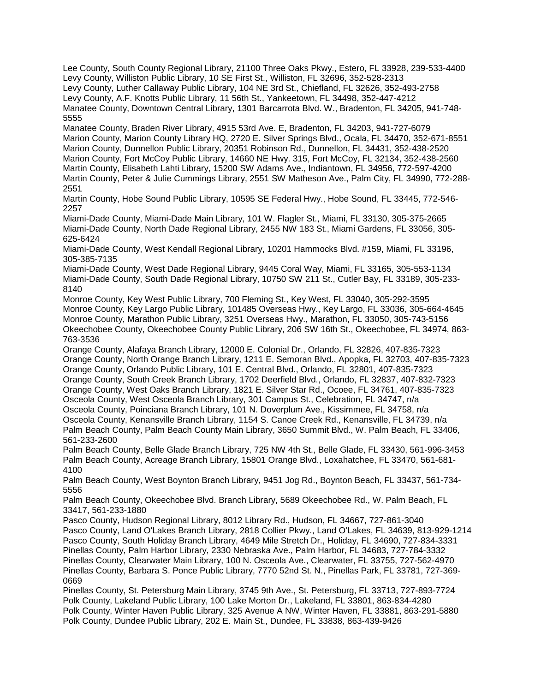Lee County, South County Regional Library, 21100 Three Oaks Pkwy., Estero, FL 33928, 239-533-4400 Levy County, Williston Public Library, 10 SE First St., Williston, FL 32696, 352-528-2313 Levy County, Luther Callaway Public Library, 104 NE 3rd St., Chiefland, FL 32626, 352-493-2758 Levy County, A.F. Knotts Public Library, 11 56th St., Yankeetown, FL 34498, 352-447-4212 Manatee County, Downtown Central Library, 1301 Barcarrota Blvd. W., Bradenton, FL 34205, 941-748- 5555

Manatee County, Braden River Library, 4915 53rd Ave. E, Bradenton, FL 34203, 941-727-6079 Marion County, Marion County Library HQ, 2720 E. Silver Springs Blvd., Ocala, FL 34470, 352-671-8551 Marion County, Dunnellon Public Library, 20351 Robinson Rd., Dunnellon, FL 34431, 352-438-2520 Marion County, Fort McCoy Public Library, 14660 NE Hwy. 315, Fort McCoy, FL 32134, 352-438-2560 Martin County, Elisabeth Lahti Library, 15200 SW Adams Ave., Indiantown, FL 34956, 772-597-4200 Martin County, Peter & Julie Cummings Library, 2551 SW Matheson Ave., Palm City, FL 34990, 772-288- 2551

Martin County, Hobe Sound Public Library, 10595 SE Federal Hwy., Hobe Sound, FL 33445, 772-546- 2257

Miami-Dade County, Miami-Dade Main Library, 101 W. Flagler St., Miami, FL 33130, 305-375-2665 Miami-Dade County, North Dade Regional Library, 2455 NW 183 St., Miami Gardens, FL 33056, 305- 625-6424

Miami-Dade County, West Kendall Regional Library, 10201 Hammocks Blvd. #159, Miami, FL 33196, 305-385-7135

Miami-Dade County, West Dade Regional Library, 9445 Coral Way, Miami, FL 33165, 305-553-1134 Miami-Dade County, South Dade Regional Library, 10750 SW 211 St., Cutler Bay, FL 33189, 305-233- 8140

Monroe County, Key West Public Library, 700 Fleming St., Key West, FL 33040, 305-292-3595 Monroe County, Key Largo Public Library, 101485 Overseas Hwy., Key Largo, FL 33036, 305-664-4645 Monroe County, Marathon Public Library, 3251 Overseas Hwy., Marathon, FL 33050, 305-743-5156 Okeechobee County, Okeechobee County Public Library, 206 SW 16th St., Okeechobee, FL 34974, 863- 763-3536

Orange County, Alafaya Branch Library, 12000 E. Colonial Dr., Orlando, FL 32826, 407-835-7323 Orange County, North Orange Branch Library, 1211 E. Semoran Blvd., Apopka, FL 32703, 407-835-7323 Orange County, Orlando Public Library, 101 E. Central Blvd., Orlando, FL 32801, 407-835-7323 Orange County, South Creek Branch Library, 1702 Deerfield Blvd., Orlando, FL 32837, 407-832-7323 Orange County, West Oaks Branch Library, 1821 E. Silver Star Rd., Ocoee, FL 34761, 407-835-7323 Osceola County, West Osceola Branch Library, 301 Campus St., Celebration, FL 34747, n/a Osceola County, Poinciana Branch Library, 101 N. Doverplum Ave., Kissimmee, FL 34758, n/a Osceola County, Kenansville Branch Library, 1154 S. Canoe Creek Rd., Kenansville, FL 34739, n/a Palm Beach County, Palm Beach County Main Library, 3650 Summit Blvd., W. Palm Beach, FL 33406, 561-233-2600

Palm Beach County, Belle Glade Branch Library, 725 NW 4th St., Belle Glade, FL 33430, 561-996-3453 Palm Beach County, Acreage Branch Library, 15801 Orange Blvd., Loxahatchee, FL 33470, 561-681- 4100

Palm Beach County, West Boynton Branch Library, 9451 Jog Rd., Boynton Beach, FL 33437, 561-734- 5556

Palm Beach County, Okeechobee Blvd. Branch Library, 5689 Okeechobee Rd., W. Palm Beach, FL 33417, 561-233-1880

Pasco County, Hudson Regional Library, 8012 Library Rd., Hudson, FL 34667, 727-861-3040 Pasco County, Land O'Lakes Branch Library, 2818 Collier Pkwy., Land O'Lakes, FL 34639, 813-929-1214 Pasco County, South Holiday Branch Library, 4649 Mile Stretch Dr., Holiday, FL 34690, 727-834-3331 Pinellas County, Palm Harbor Library, 2330 Nebraska Ave., Palm Harbor, FL 34683, 727-784-3332 Pinellas County, Clearwater Main Library, 100 N. Osceola Ave., Clearwater, FL 33755, 727-562-4970 Pinellas County, Barbara S. Ponce Public Library, 7770 52nd St. N., Pinellas Park, FL 33781, 727-369- 0669

Pinellas County, St. Petersburg Main Library, 3745 9th Ave., St. Petersburg, FL 33713, 727-893-7724 Polk County, Lakeland Public Library, 100 Lake Morton Dr., Lakeland, FL 33801, 863-834-4280 Polk County, Winter Haven Public Library, 325 Avenue A NW, Winter Haven, FL 33881, 863-291-5880 Polk County, Dundee Public Library, 202 E. Main St., Dundee, FL 33838, 863-439-9426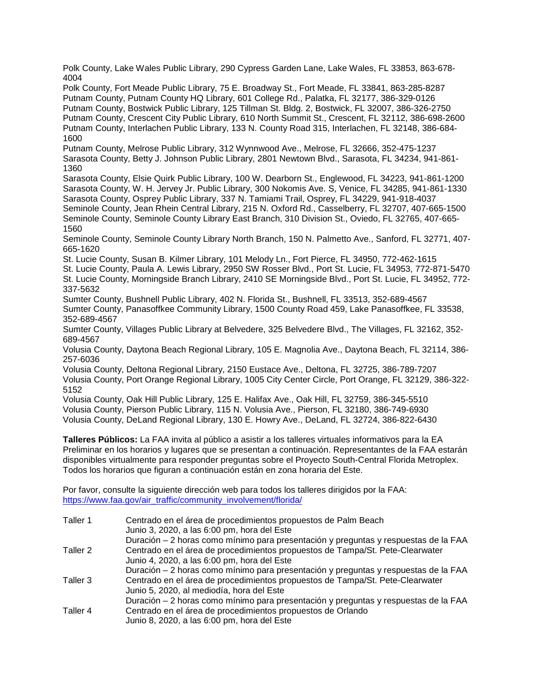Polk County, Lake Wales Public Library, 290 Cypress Garden Lane, Lake Wales, FL 33853, 863-678- 4004

Polk County, Fort Meade Public Library, 75 E. Broadway St., Fort Meade, FL 33841, 863-285-8287 Putnam County, Putnam County HQ Library, 601 College Rd., Palatka, FL 32177, 386-329-0126 Putnam County, Bostwick Public Library, 125 Tillman St. Bldg. 2, Bostwick, FL 32007, 386-326-2750 Putnam County, Crescent City Public Library, 610 North Summit St., Crescent, FL 32112, 386-698-2600 Putnam County, Interlachen Public Library, 133 N. County Road 315, Interlachen, FL 32148, 386-684- 1600

Putnam County, Melrose Public Library, 312 Wynnwood Ave., Melrose, FL 32666, 352-475-1237 Sarasota County, Betty J. Johnson Public Library, 2801 Newtown Blvd., Sarasota, FL 34234, 941-861- 1360

Sarasota County, Elsie Quirk Public Library, 100 W. Dearborn St., Englewood, FL 34223, 941-861-1200 Sarasota County, W. H. Jervey Jr. Public Library, 300 Nokomis Ave. S, Venice, FL 34285, 941-861-1330 Sarasota County, Osprey Public Library, 337 N. Tamiami Trail, Osprey, FL 34229, 941-918-4037 Seminole County, Jean Rhein Central Library, 215 N. Oxford Rd., Casselberry, FL 32707, 407-665-1500 Seminole County, Seminole County Library East Branch, 310 Division St., Oviedo, FL 32765, 407-665- 1560

Seminole County, Seminole County Library North Branch, 150 N. Palmetto Ave., Sanford, FL 32771, 407- 665-1620

St. Lucie County, Susan B. Kilmer Library, 101 Melody Ln., Fort Pierce, FL 34950, 772-462-1615

St. Lucie County, Paula A. Lewis Library, 2950 SW Rosser Blvd., Port St. Lucie, FL 34953, 772-871-5470 St. Lucie County, Morningside Branch Library, 2410 SE Morningside Blvd., Port St. Lucie, FL 34952, 772- 337-5632

Sumter County, Bushnell Public Library, 402 N. Florida St., Bushnell, FL 33513, 352-689-4567 Sumter County, Panasoffkee Community Library, 1500 County Road 459, Lake Panasoffkee, FL 33538, 352-689-4567

Sumter County, Villages Public Library at Belvedere, 325 Belvedere Blvd., The Villages, FL 32162, 352- 689-4567

Volusia County, Daytona Beach Regional Library, 105 E. Magnolia Ave., Daytona Beach, FL 32114, 386- 257-6036

Volusia County, Deltona Regional Library, 2150 Eustace Ave., Deltona, FL 32725, 386-789-7207 Volusia County, Port Orange Regional Library, 1005 City Center Circle, Port Orange, FL 32129, 386-322- 5152

Volusia County, Oak Hill Public Library, 125 E. Halifax Ave., Oak Hill, FL 32759, 386-345-5510 Volusia County, Pierson Public Library, 115 N. Volusia Ave., Pierson, FL 32180, 386-749-6930 Volusia County, DeLand Regional Library, 130 E. Howry Ave., DeLand, FL 32724, 386-822-6430

**Talleres Públicos:** La FAA invita al público a asistir a los talleres virtuales informativos para la EA Preliminar en los horarios y lugares que se presentan a continuación. Representantes de la FAA estarán disponibles virtualmente para responder preguntas sobre el Proyecto South-Central Florida Metroplex. Todos los horarios que figuran a continuación están en zona horaria del Este.

Por favor, consulte la siguiente dirección web para todos los talleres dirigidos por la FAA: https://www.faa.gov/air\_traffic/community\_involvement/florida/

| Taller 1 | Centrado en el área de procedimientos propuestos de Palm Beach<br>Junio 3, 2020, a las 6:00 pm, hora del Este |
|----------|---------------------------------------------------------------------------------------------------------------|
|          | Duración – 2 horas como mínimo para presentación y preguntas y respuestas de la FAA                           |
| Taller 2 | Centrado en el área de procedimientos propuestos de Tampa/St. Pete-Clearwater                                 |
|          | Junio 4, 2020, a las 6:00 pm, hora del Este                                                                   |
|          | Duración – 2 horas como mínimo para presentación y preguntas y respuestas de la FAA                           |
| Taller 3 | Centrado en el área de procedimientos propuestos de Tampa/St. Pete-Clearwater                                 |
|          | Junio 5, 2020, al mediodía, hora del Este                                                                     |
|          | Duración – 2 horas como mínimo para presentación y preguntas y respuestas de la FAA                           |
| Taller 4 | Centrado en el área de procedimientos propuestos de Orlando                                                   |
|          | Junio 8, 2020, a las 6:00 pm, hora del Este                                                                   |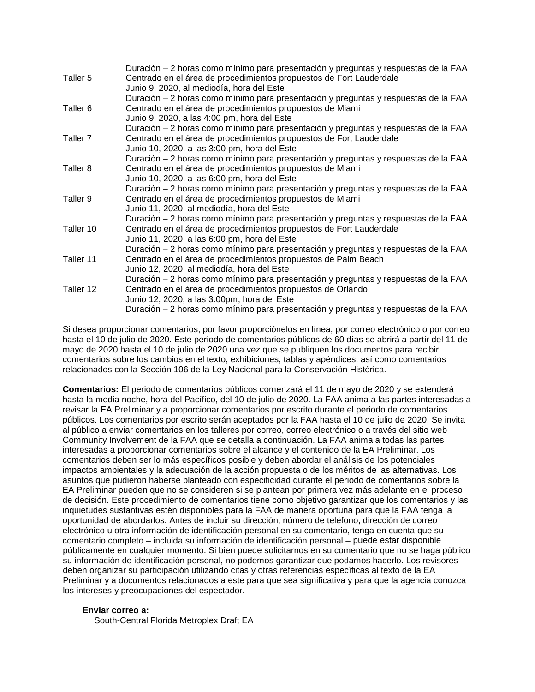|                     | Duración – 2 horas como mínimo para presentación y preguntas y respuestas de la FAA |
|---------------------|-------------------------------------------------------------------------------------|
| Taller 5            | Centrado en el área de procedimientos propuestos de Fort Lauderdale                 |
|                     | Junio 9, 2020, al mediodía, hora del Este                                           |
|                     | Duración – 2 horas como mínimo para presentación y preguntas y respuestas de la FAA |
| Taller <sub>6</sub> | Centrado en el área de procedimientos propuestos de Miami                           |
|                     | Junio 9, 2020, a las 4:00 pm, hora del Este                                         |
|                     | Duración – 2 horas como mínimo para presentación y preguntas y respuestas de la FAA |
| Taller <sub>7</sub> | Centrado en el área de procedimientos propuestos de Fort Lauderdale                 |
|                     | Junio 10, 2020, a las 3:00 pm, hora del Este                                        |
|                     | Duración – 2 horas como mínimo para presentación y preguntas y respuestas de la FAA |
| Taller <sub>8</sub> | Centrado en el área de procedimientos propuestos de Miami                           |
|                     | Junio 10, 2020, a las 6:00 pm, hora del Este                                        |
|                     | Duración – 2 horas como mínimo para presentación y preguntas y respuestas de la FAA |
| Taller 9            | Centrado en el área de procedimientos propuestos de Miami                           |
|                     | Junio 11, 2020, al mediodía, hora del Este                                          |
|                     | Duración – 2 horas como mínimo para presentación y preguntas y respuestas de la FAA |
| Taller 10           | Centrado en el área de procedimientos propuestos de Fort Lauderdale                 |
|                     | Junio 11, 2020, a las 6:00 pm, hora del Este                                        |
|                     | Duración - 2 horas como mínimo para presentación y preguntas y respuestas de la FAA |
| Taller 11           | Centrado en el área de procedimientos propuestos de Palm Beach                      |
|                     | Junio 12, 2020, al mediodía, hora del Este                                          |
|                     | Duración – 2 horas como mínimo para presentación y preguntas y respuestas de la FAA |
| Taller 12           | Centrado en el área de procedimientos propuestos de Orlando                         |
|                     | Junio 12, 2020, a las 3:00pm, hora del Este                                         |
|                     | Duración - 2 horas como mínimo para presentación y preguntas y respuestas de la FAA |

Si desea proporcionar comentarios, por favor proporciónelos en línea, por correo electrónico o por correo hasta el 10 de julio de 2020. Este periodo de comentarios públicos de 60 días se abrirá a partir del 11 de mayo de 2020 hasta el 10 de julio de 2020 una vez que se publiquen los documentos para recibir comentarios sobre los cambios en el texto, exhibiciones, tablas y apéndices, así como comentarios relacionados con la Sección 106 de la Ley Nacional para la Conservación Histórica.

**Comentarios:** El periodo de comentarios públicos comenzará el 11 de mayo de 2020 y se extenderá hasta la media noche, hora del Pacífico, del 10 de julio de 2020. La FAA anima a las partes interesadas a revisar la EA Preliminar y a proporcionar comentarios por escrito durante el periodo de comentarios públicos. Los comentarios por escrito serán aceptados por la FAA hasta el 10 de julio de 2020. Se invita al público a enviar comentarios en los talleres por correo, correo electrónico o a través del sitio web Community Involvement de la FAA que se detalla a continuación. La FAA anima a todas las partes interesadas a proporcionar comentarios sobre el alcance y el contenido de la EA Preliminar. Los comentarios deben ser lo más específicos posible y deben abordar el análisis de los potenciales impactos ambientales y la adecuación de la acción propuesta o de los méritos de las alternativas. Los asuntos que pudieron haberse planteado con especificidad durante el periodo de comentarios sobre la EA Preliminar pueden que no se consideren si se plantean por primera vez más adelante en el proceso de decisión. Este procedimiento de comentarios tiene como objetivo garantizar que los comentarios y las inquietudes sustantivas estén disponibles para la FAA de manera oportuna para que la FAA tenga la oportunidad de abordarlos. Antes de incluir su dirección, número de teléfono, dirección de correo electrónico u otra información de identificación personal en su comentario, tenga en cuenta que su comentario completo – incluida su información de identificación personal – puede estar disponible públicamente en cualquier momento. Si bien puede solicitarnos en su comentario que no se haga público su información de identificación personal, no podemos garantizar que podamos hacerlo. Los revisores deben organizar su participación utilizando citas y otras referencias específicas al texto de la EA Preliminar y a documentos relacionados a este para que sea significativa y para que la agencia conozca los intereses y preocupaciones del espectador.

#### **Enviar correo a:**

South-Central Florida Metroplex Draft EA